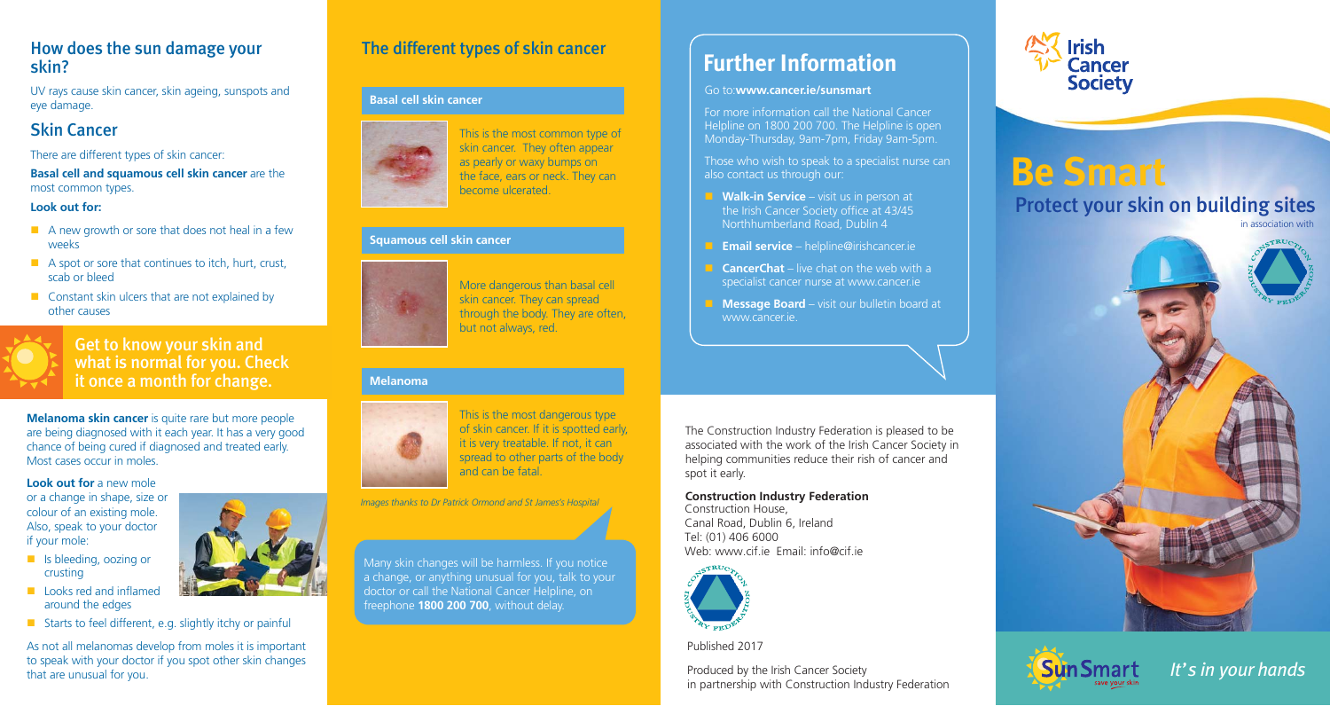### How does the sun damage your skin?

UV rays cause skin cancer, skin ageing, sunspots and eye damage.

## Skin Cancer

There are different types of skin cancer:

**Basal cell and squamous cell skin cancer** are the most common types.

### **Look out for:**

- $\blacksquare$  A new growth or sore that does not heal in a few weeks
- A spot or sore that continues to itch, hurt, crust, scab or bleed
- **Constant skin ulcers that are not explained by** other causes



### Get to know your skin and what is normal for you. Check it once a month for change.

**Melanoma skin cancer** is quite rare but more people are being diagnosed with it each year. It has a very good chance of being cured if diagnosed and treated early. Most cases occur in moles.

### **Look out for** a new mole

 Also, speak to your doctor or a change in shape, size or colour of an existing mole. if your mole:

- **B** Is bleeding, oozing or crusting
- **Looks red and inflamed** around the edges
- Starts to feel different, e.g. slightly itchy or painful

As not all melanomas develop from moles it is important to speak with your doctor if you spot other skin changes that are unusual for you.

## The different types of skin cancer

### **Basal cell skin cancer**



This is the most common type of skin cancer. They often appear as pearly or waxy bumps on the face, ears or neck. They can become ulcerated.

### **Squamous cell skin cancer**



More dangerous than basal cell skin cancer. They can spread through the body. They are often, but not always, red.

### **Melanoma**



This is the most dangerous type of skin cancer. If it is spotted early, it is very treatable. If not, it can spread to other parts of the body and can be fatal.

*Images thanks to Dr Patrick Ormond and St James's Hospital*

Many skin changes will be harmless. If you notice a change, or anything unusual for you, talk to your doctor or call the National Cancer Helpline, on freephone **1800 200 700**, without delay.

# **Further Information**

#### Go to:**www.cancer.ie/sunsmart**

For more information call the National Cancer Helpline on 1800 200 700. The Helpline is open Monday-Thursday, 9am-7pm, Friday 9am-5pm.

Those who wish to speak to a specialist nurse can also contact us through our:

- **Walk-in Service** visit us in person at the Irish Cancer Society office at 43/45 Northhumberland Road, Dublin 4
- **Email service** helpline@irishcancer.ie
- **CancerChat** live chat on the web with a specialist cancer nurse at www.cancer.ie
- **Message Board** visit our bulletin board at www.cancer.ie.

The Construction Industry Federation is pleased to be associated with the work of the Irish Cancer Society in helping communities reduce their rish of cancer and spot it early.

### **Construction Industry Federation**

Construction House, Canal Road, Dublin 6, Ireland Tel: (01) 406 6000 Web: www.cif.ie Email: info@cif.ie



Published 2017

Produced by the Irish Cancer Society in partnership with Construction Industry Federation



# **Be Smart** Protect your skin on building sites

in association with





*It's in your hands*